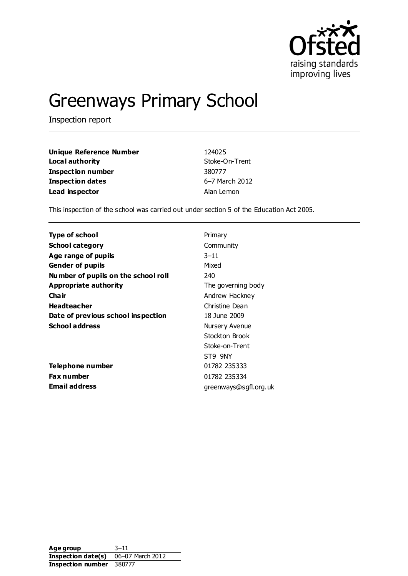

# Greenways Primary School

Inspection report

| Unique Reference Number | 124025         |
|-------------------------|----------------|
| Local authority         | Stoke-On-Trent |
| Inspection number       | 380777         |
| Inspection dates        | 6-7 March 2012 |
| Lead inspector          | Alan Lemon     |

This inspection of the school was carried out under section 5 of the Education Act 2005.

| Type of school                      | Primary               |
|-------------------------------------|-----------------------|
| <b>School category</b>              | Community             |
| Age range of pupils                 | $3 - 11$              |
| <b>Gender of pupils</b>             | Mixed                 |
| Number of pupils on the school roll | 240                   |
| Appropriate authority               | The governing body    |
| Cha ir                              | Andrew Hackney        |
| <b>Headteacher</b>                  | Christine Dean        |
| Date of previous school inspection  | 18 June 2009          |
| <b>School address</b>               | Nursery Avenue        |
|                                     | Stockton Brook        |
|                                     | Stoke-on-Trent        |
|                                     | ST9 9NY               |
| Telephone number                    | 01782 235333          |
| <b>Fax number</b>                   | 01782 235334          |
| <b>Email address</b>                | greenways@sgfl.org.uk |

Age group 3-11 **Inspection date(s)** 06–07 March 2012 **Inspection number** 380777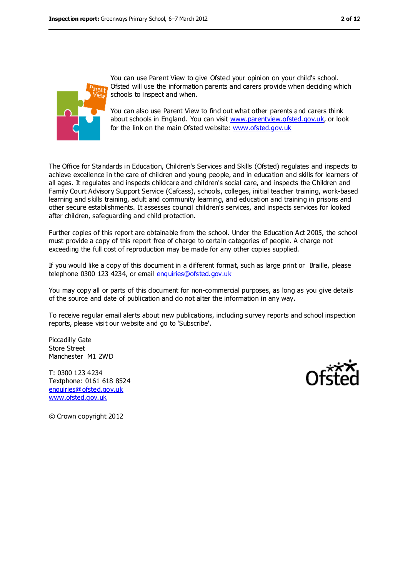

You can use Parent View to give Ofsted your opinion on your child's school. Ofsted will use the information parents and carers provide when deciding which schools to inspect and when.

You can also use Parent View to find out what other parents and carers think about schools in England. You can visit [www.parentview.ofsted.gov.uk,](file:///C:/F%20Carruthers/AppData/Local/Microsoft/Windows/Temporary%20Internet%20Files/Content.IE5/830ZF1GL/www.parentview.ofsted.gov.uk) or look for the link on the main Ofsted website: [www.ofsted.gov.uk](file:///C:/F%20Carruthers/AppData/Local/Microsoft/Windows/Temporary%20Internet%20Files/Content.IE5/830ZF1GL/www.ofsted.gov.uk)

The Office for Standards in Education, Children's Services and Skills (Ofsted) regulates and inspects to achieve excellence in the care of children and young people, and in education and skills for learners of all ages. It regulates and inspects childcare and children's social care, and inspects the Children and Family Court Advisory Support Service (Cafcass), schools, colleges, initial teacher training, work-based learning and skills training, adult and community learning, and education and training in prisons and other secure establishments. It assesses council children's services, and inspects services for looked after children, safeguarding and child protection.

Further copies of this report are obtainable from the school. Under the Education Act 2005, the school must provide a copy of this report free of charge to certain categories of people. A charge not exceeding the full cost of reproduction may be made for any other copies supplied.

If you would like a copy of this document in a different format, such as large print or Braille, please telephone 0300 123 4234, or email [enquiries@ofsted.gov.uk](mailto:enquiries@ofsted.gov.uk)

You may copy all or parts of this document for non-commercial purposes, as long as you give details of the source and date of publication and do not alter the information in any way.

To receive regular email alerts about new publications, including survey reports and school inspection reports, please visit our website and go to 'Subscribe'.

Piccadilly Gate Store Street Manchester M1 2WD

T: 0300 123 4234 Textphone: 0161 618 8524 [enquiries@ofsted.gov.uk](mailto:enquiries@ofsted.gov.uk) [www.ofsted.gov.uk](http://www.ofsted.gov.uk/)



© Crown copyright 2012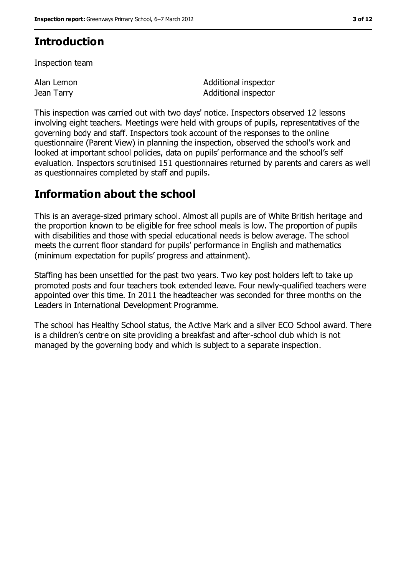## **Introduction**

Inspection team

Alan Lemon Jean Tarry

Additional inspector Additional inspector

This inspection was carried out with two days' notice. Inspectors observed 12 lessons involving eight teachers. Meetings were held with groups of pupils, representatives of the governing body and staff. Inspectors took account of the responses to the online questionnaire (Parent View) in planning the inspection, observed the school's work and looked at important school policies, data on pupils' performance and the school's self evaluation. Inspectors scrutinised 151 questionnaires returned by parents and carers as well as questionnaires completed by staff and pupils.

## **Information about the school**

This is an average-sized primary school. Almost all pupils are of White British heritage and the proportion known to be eligible for free school meals is low. The proportion of pupils with disabilities and those with special educational needs is below average. The school meets the current floor standard for pupils' performance in English and mathematics (minimum expectation for pupils' progress and attainment).

Staffing has been unsettled for the past two years. Two key post holders left to take up promoted posts and four teachers took extended leave. Four newly-qualified teachers were appointed over this time. In 2011 the headteacher was seconded for three months on the Leaders in International Development Programme.

The school has Healthy School status, the Active Mark and a silver ECO School award. There is a children's centre on site providing a breakfast and after-school club which is not managed by the governing body and which is subject to a separate inspection.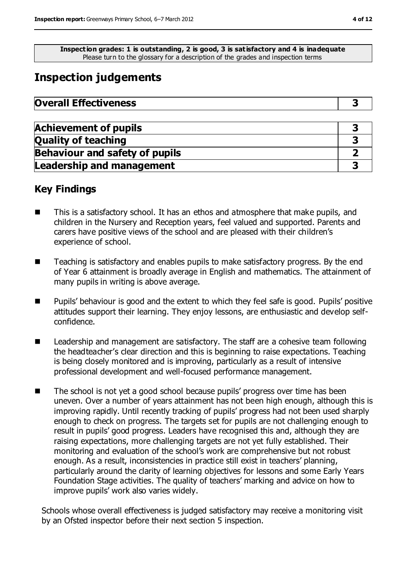**Inspection grades: 1 is outstanding, 2 is good, 3 is satisfactory and 4 is inadequate** Please turn to the glossary for a description of the grades and inspection terms

# **Inspection judgements**

| <b>Overall Effectiveness</b> |  |
|------------------------------|--|
|------------------------------|--|

| <b>Achievement of pupils</b>          |  |
|---------------------------------------|--|
| <b>Quality of teaching</b>            |  |
| <b>Behaviour and safety of pupils</b> |  |
| <b>Leadership and management</b>      |  |

## **Key Findings**

- This is a satisfactory school. It has an ethos and atmosphere that make pupils, and children in the Nursery and Reception years, feel valued and supported. Parents and carers have positive views of the school and are pleased with their children's experience of school.
- Teaching is satisfactory and enables pupils to make satisfactory progress. By the end of Year 6 attainment is broadly average in English and mathematics. The attainment of many pupils in writing is above average.
- Pupils' behaviour is good and the extent to which they feel safe is good. Pupils' positive attitudes support their learning. They enjoy lessons, are enthusiastic and develop selfconfidence.
- Leadership and management are satisfactory. The staff are a cohesive team following the headteacher's clear direction and this is beginning to raise expectations. Teaching is being closely monitored and is improving, particularly as a result of intensive professional development and well-focused performance management.
- The school is not yet a good school because pupils' progress over time has been uneven. Over a number of years attainment has not been high enough, although this is improving rapidly. Until recently tracking of pupils' progress had not been used sharply enough to check on progress. The targets set for pupils are not challenging enough to result in pupils' good progress. Leaders have recognised this and, although they are raising expectations, more challenging targets are not yet fully established. Their monitoring and evaluation of the school's work are comprehensive but not robust enough. As a result, inconsistencies in practice still exist in teachers' planning, particularly around the clarity of learning objectives for lessons and some Early Years Foundation Stage activities. The quality of teachers' marking and advice on how to improve pupils' work also varies widely.

Schools whose overall effectiveness is judged satisfactory may receive a monitoring visit by an Ofsted inspector before their next section 5 inspection.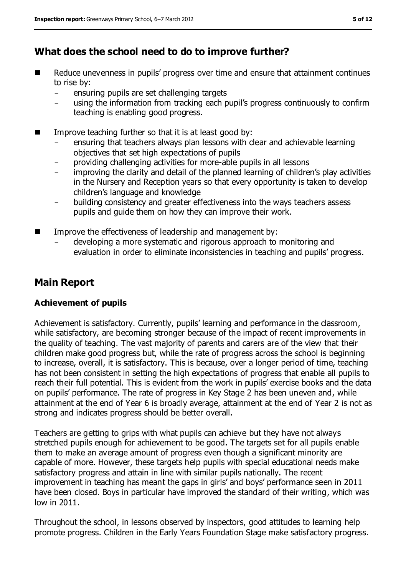## **What does the school need to do to improve further?**

- Reduce unevenness in pupils' progress over time and ensure that attainment continues to rise by:
	- ensuring pupils are set challenging targets
	- using the information from tracking each pupil's progress continuously to confirm teaching is enabling good progress.
- Improve teaching further so that it is at least good by:
	- ensuring that teachers always plan lessons with clear and achievable learning objectives that set high expectations of pupils
	- providing challenging activities for more-able pupils in all lessons
	- improving the clarity and detail of the planned learning of children's play activities in the Nursery and Reception years so that every opportunity is taken to develop children's language and knowledge
	- building consistency and greater effectiveness into the ways teachers assess pupils and guide them on how they can improve their work.
- Improve the effectiveness of leadership and management by:
	- developing a more systematic and rigorous approach to monitoring and evaluation in order to eliminate inconsistencies in teaching and pupils' progress.

## **Main Report**

#### **Achievement of pupils**

Achievement is satisfactory. Currently, pupils' learning and performance in the classroom, while satisfactory, are becoming stronger because of the impact of recent improvements in the quality of teaching. The vast majority of parents and carers are of the view that their children make good progress but, while the rate of progress across the school is beginning to increase, overall, it is satisfactory. This is because, over a longer period of time, teaching has not been consistent in setting the high expectations of progress that enable all pupils to reach their full potential. This is evident from the work in pupils' exercise books and the data on pupils' performance. The rate of progress in Key Stage 2 has been uneven and, while attainment at the end of Year 6 is broadly average, attainment at the end of Year 2 is not as strong and indicates progress should be better overall.

Teachers are getting to grips with what pupils can achieve but they have not always stretched pupils enough for achievement to be good. The targets set for all pupils enable them to make an average amount of progress even though a significant minority are capable of more. However, these targets help pupils with special educational needs make satisfactory progress and attain in line with similar pupils nationally. The recent improvement in teaching has meant the gaps in girls' and boys' performance seen in 2011 have been closed. Boys in particular have improved the standard of their writing, which was low in 2011.

Throughout the school, in lessons observed by inspectors, good attitudes to learning help promote progress. Children in the Early Years Foundation Stage make satisfactory progress.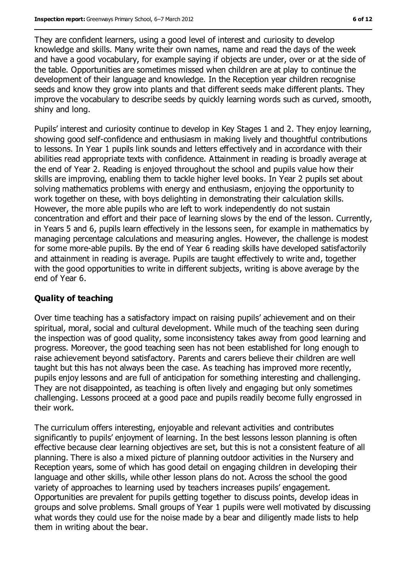They are confident learners, using a good level of interest and curiosity to develop knowledge and skills. Many write their own names, name and read the days of the week and have a good vocabulary, for example saying if objects are under, over or at the side of the table. Opportunities are sometimes missed when children are at play to continue the development of their language and knowledge. In the Reception year children recognise seeds and know they grow into plants and that different seeds make different plants. They improve the vocabulary to describe seeds by quickly learning words such as curved, smooth, shiny and long.

Pupils' interest and curiosity continue to develop in Key Stages 1 and 2. They enjoy learning, showing good self-confidence and enthusiasm in making lively and thoughtful contributions to lessons. In Year 1 pupils link sounds and letters effectively and in accordance with their abilities read appropriate texts with confidence. Attainment in reading is broadly average at the end of Year 2. Reading is enjoyed throughout the school and pupils value how their skills are improving, enabling them to tackle higher level books. In Year 2 pupils set about solving mathematics problems with energy and enthusiasm, enjoying the opportunity to work together on these, with boys delighting in demonstrating their calculation skills. However, the more able pupils who are left to work independently do not sustain concentration and effort and their pace of learning slows by the end of the lesson. Currently, in Years 5 and 6, pupils learn effectively in the lessons seen, for example in mathematics by managing percentage calculations and measuring angles. However, the challenge is modest for some more-able pupils. By the end of Year 6 reading skills have developed satisfactorily and attainment in reading is average. Pupils are taught effectively to write and, together with the good opportunities to write in different subjects, writing is above average by the end of Year 6.

#### **Quality of teaching**

Over time teaching has a satisfactory impact on raising pupils' achievement and on their spiritual, moral, social and cultural development. While much of the teaching seen during the inspection was of good quality, some inconsistency takes away from good learning and progress. Moreover, the good teaching seen has not been established for long enough to raise achievement beyond satisfactory. Parents and carers believe their children are well taught but this has not always been the case. As teaching has improved more recently, pupils enjoy lessons and are full of anticipation for something interesting and challenging. They are not disappointed, as teaching is often lively and engaging but only sometimes challenging. Lessons proceed at a good pace and pupils readily become fully engrossed in their work.

The curriculum offers interesting, enjoyable and relevant activities and contributes significantly to pupils' enjoyment of learning. In the best lessons lesson planning is often effective because clear learning objectives are set, but this is not a consistent feature of all planning. There is also a mixed picture of planning outdoor activities in the Nursery and Reception years, some of which has good detail on engaging children in developing their language and other skills, while other lesson plans do not. Across the school the good variety of approaches to learning used by teachers increases pupils' engagement. Opportunities are prevalent for pupils getting together to discuss points, develop ideas in groups and solve problems. Small groups of Year 1 pupils were well motivated by discussing what words they could use for the noise made by a bear and diligently made lists to help them in writing about the bear.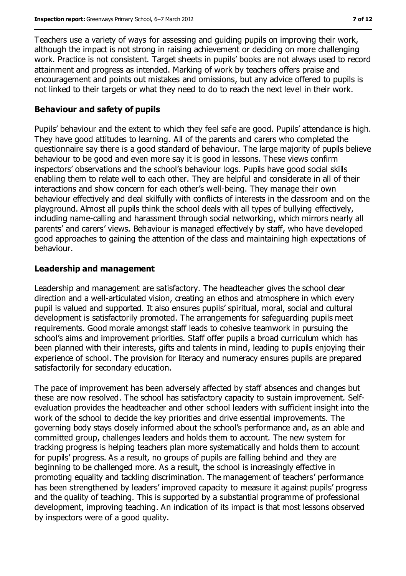Teachers use a variety of ways for assessing and guiding pupils on improving their work, although the impact is not strong in raising achievement or deciding on more challenging work. Practice is not consistent. Target sheets in pupils' books are not always used to record attainment and progress as intended. Marking of work by teachers offers praise and encouragement and points out mistakes and omissions, but any advice offered to pupils is not linked to their targets or what they need to do to reach the next level in their work.

#### **Behaviour and safety of pupils**

Pupils' behaviour and the extent to which they feel safe are good. Pupils' attendance is high. They have good attitudes to learning. All of the parents and carers who completed the questionnaire say there is a good standard of behaviour. The large majority of pupils believe behaviour to be good and even more say it is good in lessons. These views confirm inspectors' observations and the school's behaviour logs. Pupils have good social skills enabling them to relate well to each other. They are helpful and considerate in all of their interactions and show concern for each other's well-being. They manage their own behaviour effectively and deal skilfully with conflicts of interests in the classroom and on the playground. Almost all pupils think the school deals with all types of bullying effectively, including name-calling and harassment through social networking, which mirrors nearly all parents' and carers' views. Behaviour is managed effectively by staff, who have developed good approaches to gaining the attention of the class and maintaining high expectations of behaviour.

#### **Leadership and management**

Leadership and management are satisfactory. The headteacher gives the school clear direction and a well-articulated vision, creating an ethos and atmosphere in which every pupil is valued and supported. It also ensures pupils' spiritual, moral, social and cultural development is satisfactorily promoted. The arrangements for safeguarding pupils meet requirements. Good morale amongst staff leads to cohesive teamwork in pursuing the school's aims and improvement priorities. Staff offer pupils a broad curriculum which has been planned with their interests, gifts and talents in mind, leading to pupils enjoying their experience of school. The provision for literacy and numeracy ensures pupils are prepared satisfactorily for secondary education.

The pace of improvement has been adversely affected by staff absences and changes but these are now resolved. The school has satisfactory capacity to sustain improvement. Selfevaluation provides the headteacher and other school leaders with sufficient insight into the work of the school to decide the key priorities and drive essential improvements. The governing body stays closely informed about the school's performance and, as an able and committed group, challenges leaders and holds them to account. The new system for tracking progress is helping teachers plan more systematically and holds them to account for pupils' progress. As a result, no groups of pupils are falling behind and they are beginning to be challenged more. As a result, the school is increasingly effective in promoting equality and tackling discrimination. The management of teachers' performance has been strengthened by leaders' improved capacity to measure it against pupils' progress and the quality of teaching. This is supported by a substantial programme of professional development, improving teaching. An indication of its impact is that most lessons observed by inspectors were of a good quality.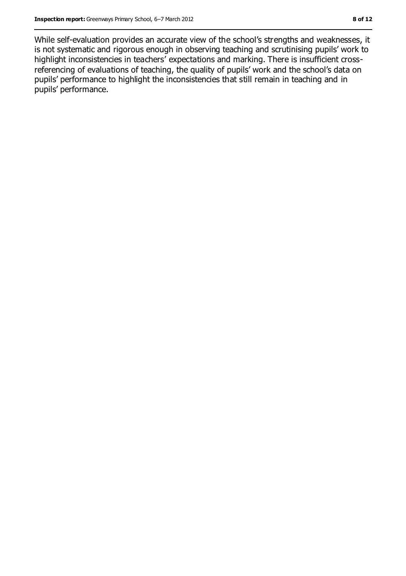While self-evaluation provides an accurate view of the school's strengths and weaknesses, it is not systematic and rigorous enough in observing teaching and scrutinising pupils' work to highlight inconsistencies in teachers' expectations and marking. There is insufficient crossreferencing of evaluations of teaching, the quality of pupils' work and the school's data on pupils' performance to highlight the inconsistencies that still remain in teaching and in pupils' performance.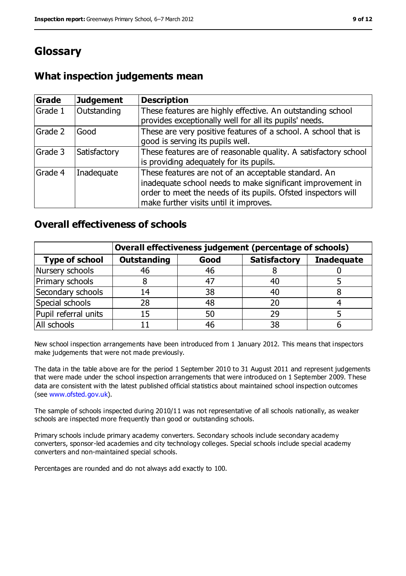# **Glossary**

### **What inspection judgements mean**

| Grade   | <b>Judgement</b> | <b>Description</b>                                                                                                                                                                                                            |
|---------|------------------|-------------------------------------------------------------------------------------------------------------------------------------------------------------------------------------------------------------------------------|
| Grade 1 | Outstanding      | These features are highly effective. An outstanding school<br>provides exceptionally well for all its pupils' needs.                                                                                                          |
| Grade 2 | Good             | These are very positive features of a school. A school that is<br>good is serving its pupils well.                                                                                                                            |
| Grade 3 | Satisfactory     | These features are of reasonable quality. A satisfactory school<br>is providing adequately for its pupils.                                                                                                                    |
| Grade 4 | Inadequate       | These features are not of an acceptable standard. An<br>inadequate school needs to make significant improvement in<br>order to meet the needs of its pupils. Ofsted inspectors will<br>make further visits until it improves. |

#### **Overall effectiveness of schools**

|                       | Overall effectiveness judgement (percentage of schools) |      |                     |                   |
|-----------------------|---------------------------------------------------------|------|---------------------|-------------------|
| <b>Type of school</b> | <b>Outstanding</b>                                      | Good | <b>Satisfactory</b> | <b>Inadequate</b> |
| Nursery schools       | 46                                                      | 46   |                     |                   |
| Primary schools       |                                                         | 47   | 40                  |                   |
| Secondary schools     | 14                                                      | 38   | 40                  |                   |
| Special schools       | 28                                                      | 48   | 20                  |                   |
| Pupil referral units  | 15                                                      | 50   | 29                  |                   |
| All schools           |                                                         | 46   | 38                  |                   |

New school inspection arrangements have been introduced from 1 January 2012. This means that inspectors make judgements that were not made previously.

The data in the table above are for the period 1 September 2010 to 31 August 2011 and represent judgements that were made under the school inspection arrangements that were introduced on 1 September 2009. These data are consistent with the latest published official statistics about maintained school inspection outcomes (see [www.ofsted.gov.uk\)](file:///C:/F%20Carruthers/AppData/Local/Microsoft/Windows/Temporary%20Internet%20Files/Content.IE5/830ZF1GL/www.ofsted.gov.uk).

The sample of schools inspected during 2010/11 was not representative of all schools nationally, as weaker schools are inspected more frequently than good or outstanding schools.

Primary schools include primary academy converters. Secondary schools include secondary academy converters, sponsor-led academies and city technology colleges. Special schools include special academy converters and non-maintained special schools.

Percentages are rounded and do not always add exactly to 100.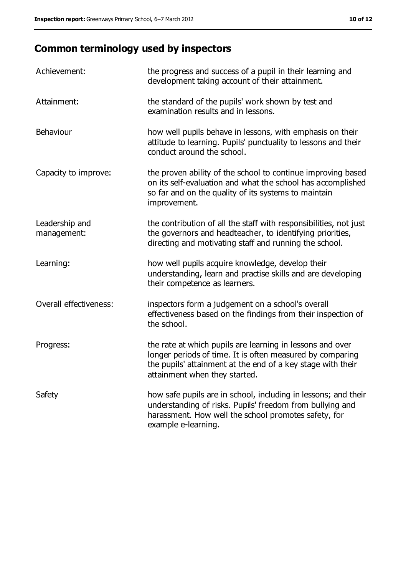# **Common terminology used by inspectors**

| Achievement:                  | the progress and success of a pupil in their learning and<br>development taking account of their attainment.                                                                                                           |
|-------------------------------|------------------------------------------------------------------------------------------------------------------------------------------------------------------------------------------------------------------------|
| Attainment:                   | the standard of the pupils' work shown by test and<br>examination results and in lessons.                                                                                                                              |
| Behaviour                     | how well pupils behave in lessons, with emphasis on their<br>attitude to learning. Pupils' punctuality to lessons and their<br>conduct around the school.                                                              |
| Capacity to improve:          | the proven ability of the school to continue improving based<br>on its self-evaluation and what the school has accomplished<br>so far and on the quality of its systems to maintain<br>improvement.                    |
| Leadership and<br>management: | the contribution of all the staff with responsibilities, not just<br>the governors and headteacher, to identifying priorities,<br>directing and motivating staff and running the school.                               |
| Learning:                     | how well pupils acquire knowledge, develop their<br>understanding, learn and practise skills and are developing<br>their competence as learners.                                                                       |
| Overall effectiveness:        | inspectors form a judgement on a school's overall<br>effectiveness based on the findings from their inspection of<br>the school.                                                                                       |
| Progress:                     | the rate at which pupils are learning in lessons and over<br>longer periods of time. It is often measured by comparing<br>the pupils' attainment at the end of a key stage with their<br>attainment when they started. |
| Safety                        | how safe pupils are in school, including in lessons; and their<br>understanding of risks. Pupils' freedom from bullying and<br>harassment. How well the school promotes safety, for<br>example e-learning.             |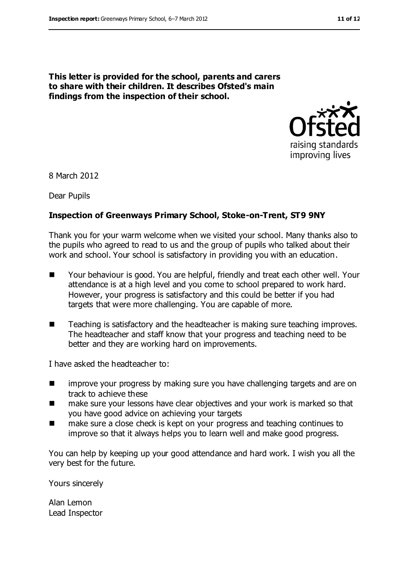**This letter is provided for the school, parents and carers to share with their children. It describes Ofsted's main findings from the inspection of their school.**



8 March 2012

Dear Pupils

#### **Inspection of Greenways Primary School, Stoke-on-Trent, ST9 9NY**

Thank you for your warm welcome when we visited your school. Many thanks also to the pupils who agreed to read to us and the group of pupils who talked about their work and school. Your school is satisfactory in providing you with an education.

- Your behaviour is good. You are helpful, friendly and treat each other well. Your attendance is at a high level and you come to school prepared to work hard. However, your progress is satisfactory and this could be better if you had targets that were more challenging. You are capable of more.
- Teaching is satisfactory and the headteacher is making sure teaching improves. The headteacher and staff know that your progress and teaching need to be better and they are working hard on improvements.

I have asked the headteacher to:

- **IF** improve your progress by making sure you have challenging targets and are on track to achieve these
- make sure your lessons have clear objectives and your work is marked so that you have good advice on achieving your targets
- make sure a close check is kept on your progress and teaching continues to improve so that it always helps you to learn well and make good progress.

You can help by keeping up your good attendance and hard work. I wish you all the very best for the future.

Yours sincerely

Alan Lemon Lead Inspector